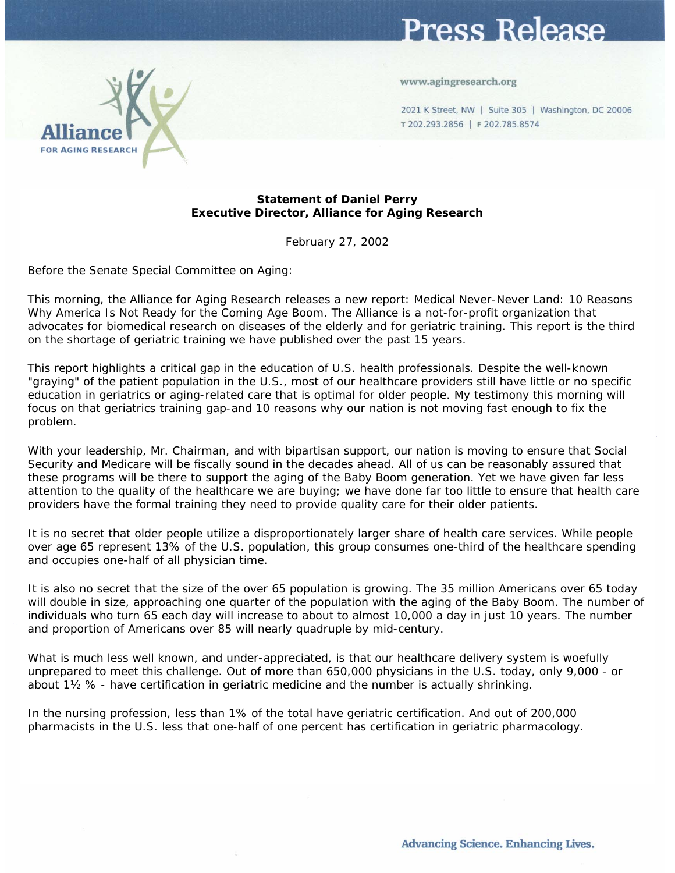## Press Release

www.agingresearch.org

2021 K Street, NW | Suite 305 | Washington, DC 20006 T 202.293.2856 | F 202.785.8574



## **Statement of Daniel Perry Executive Director, Alliance for Aging Research**

February 27, 2002

Before the Senate Special Committee on Aging:

This morning, the Alliance for Aging Research releases a new report: Medical Never-Never Land: 10 Reasons Why America Is Not Ready for the Coming Age Boom. The Alliance is a not-for-profit organization that advocates for biomedical research on diseases of the elderly and for geriatric training. This report is the third on the shortage of geriatric training we have published over the past 15 years.

This report highlights a critical gap in the education of U.S. health professionals. Despite the well-known "graying" of the patient population in the U.S., most of our healthcare providers still have little or no specific education in geriatrics or aging-related care that is optimal for older people. My testimony this morning will focus on that geriatrics training gap-and 10 reasons why our nation is not moving fast enough to fix the problem.

With your leadership, Mr. Chairman, and with bipartisan support, our nation is moving to ensure that Social Security and Medicare will be fiscally sound in the decades ahead. All of us can be reasonably assured that these programs will be there to support the aging of the Baby Boom generation. Yet we have given far less attention to the quality of the healthcare we are buying; we have done far too little to ensure that health care providers have the formal training they need to provide quality care for their older patients.

It is no secret that older people utilize a disproportionately larger share of health care services. While people over age 65 represent 13% of the U.S. population, this group consumes one-third of the healthcare spending and occupies one-half of all physician time.

It is also no secret that the size of the over 65 population is growing. The 35 million Americans over 65 today will double in size, approaching one quarter of the population with the aging of the Baby Boom. The number of individuals who turn 65 each day will increase to about to almost 10,000 a day in just 10 years. The number and proportion of Americans over 85 will nearly quadruple by mid-century.

What is much less well known, and under-appreciated, is that our healthcare delivery system is woefully unprepared to meet this challenge. Out of more than 650,000 physicians in the U.S. today, only 9,000 - or about 1½ % - have certification in geriatric medicine and the number is actually shrinking.

In the nursing profession, less than 1% of the total have geriatric certification. And out of 200,000 pharmacists in the U.S. less that one-half of one percent has certification in geriatric pharmacology.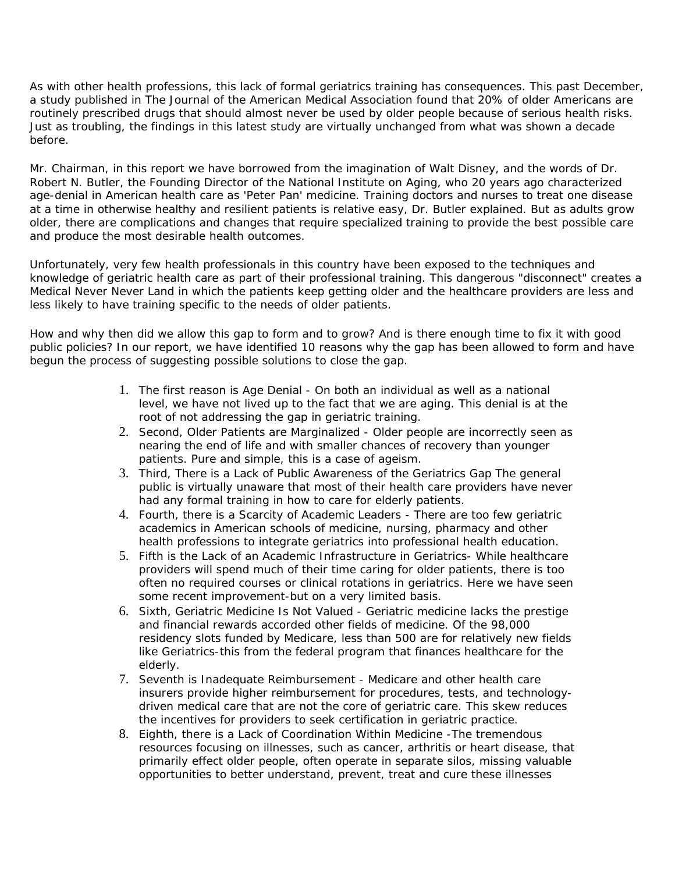As with other health professions, this lack of formal geriatrics training has consequences. This past December, a study published in The Journal of the American Medical Association found that 20% of older Americans are routinely prescribed drugs that should almost never be used by older people because of serious health risks. Just as troubling, the findings in this latest study are virtually unchanged from what was shown a decade before.

Mr. Chairman, in this report we have borrowed from the imagination of Walt Disney, and the words of Dr. Robert N. Butler, the Founding Director of the National Institute on Aging, who 20 years ago characterized age-denial in American health care as 'Peter Pan' medicine. Training doctors and nurses to treat one disease at a time in otherwise healthy and resilient patients is relative easy, Dr. Butler explained. But as adults grow older, there are complications and changes that require specialized training to provide the best possible care and produce the most desirable health outcomes.

Unfortunately, very few health professionals in this country have been exposed to the techniques and knowledge of geriatric health care as part of their professional training. This dangerous "disconnect" creates a Medical Never Never Land in which the patients keep getting older and the healthcare providers are less and less likely to have training specific to the needs of older patients.

How and why then did we allow this gap to form and to grow? And is there enough time to fix it with good public policies? In our report, we have identified 10 reasons why the gap has been allowed to form and have begun the process of suggesting possible solutions to close the gap.

- 1. The first reason is Age Denial On both an individual as well as a national level, we have not lived up to the fact that we are aging. This denial is at the root of not addressing the gap in geriatric training.
- 2. Second, Older Patients are Marginalized Older people are incorrectly seen as nearing the end of life and with smaller chances of recovery than younger patients. Pure and simple, this is a case of ageism.
- 3. Third, There is a Lack of Public Awareness of the Geriatrics Gap The general public is virtually unaware that most of their health care providers have never had any formal training in how to care for elderly patients.
- 4. Fourth, there is a Scarcity of Academic Leaders There are too few geriatric academics in American schools of medicine, nursing, pharmacy and other health professions to integrate geriatrics into professional health education.
- 5. Fifth is the Lack of an Academic Infrastructure in Geriatrics- While healthcare providers will spend much of their time caring for older patients, there is too often no required courses or clinical rotations in geriatrics. Here we have seen some recent improvement-but on a very limited basis.
- 6. Sixth, Geriatric Medicine Is Not Valued Geriatric medicine lacks the prestige and financial rewards accorded other fields of medicine. Of the 98,000 residency slots funded by Medicare, less than 500 are for relatively new fields like Geriatrics-this from the federal program that finances healthcare for the elderly.
- 7. Seventh is Inadequate Reimbursement Medicare and other health care insurers provide higher reimbursement for procedures, tests, and technologydriven medical care that are not the core of geriatric care. This skew reduces the incentives for providers to seek certification in geriatric practice.
- 8. Eighth, there is a Lack of Coordination Within Medicine -The tremendous resources focusing on illnesses, such as cancer, arthritis or heart disease, that primarily effect older people, often operate in separate silos, missing valuable opportunities to better understand, prevent, treat and cure these illnesses